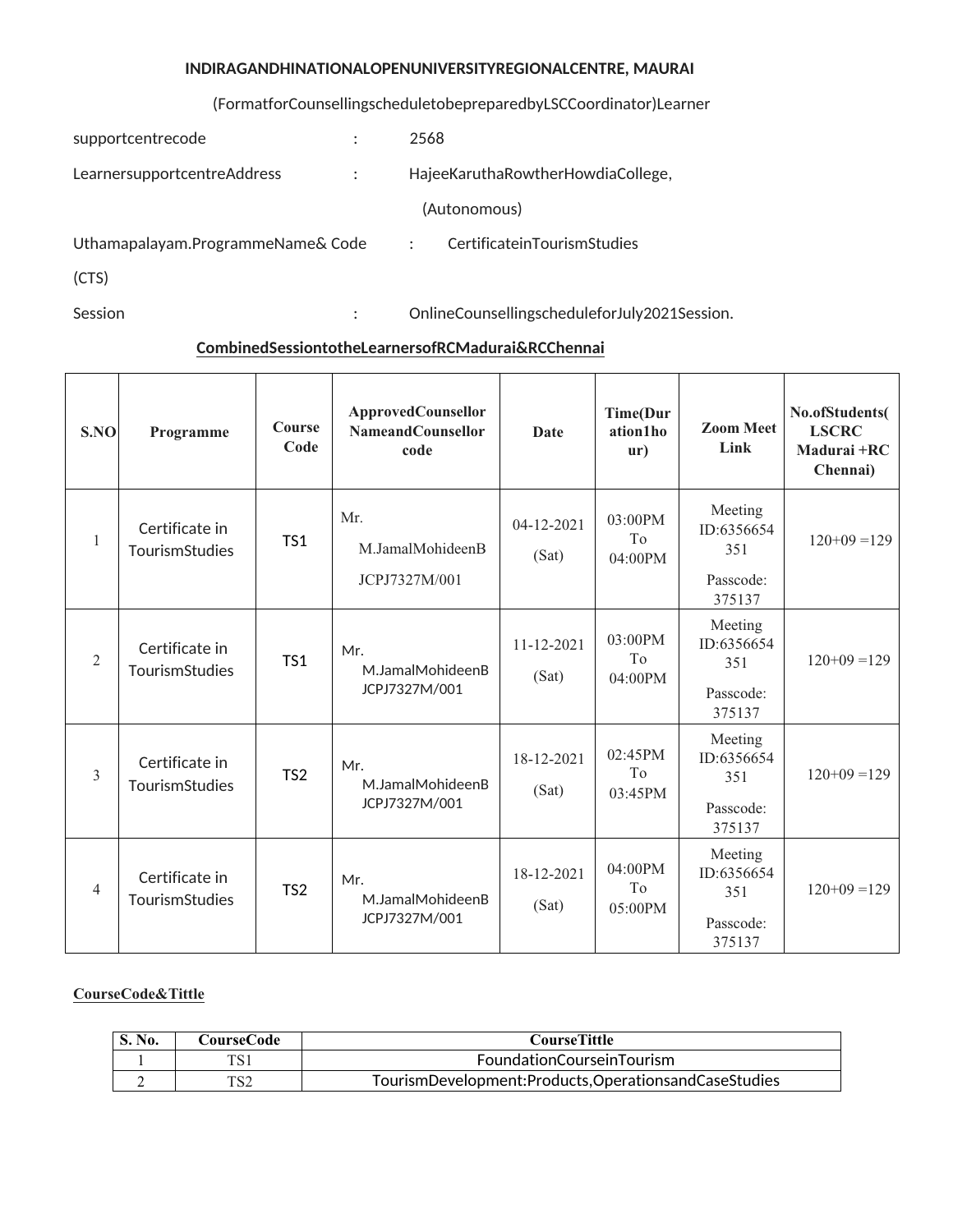## **INDIRAGANDHINATIONALOPENUNIVERSITYREGIONALCENTRE, MAURAI**

## (FormatforCounsellingscheduletobepreparedbyLSCCoordinator)Learner

| supportcentrecode                 | ٠ | 2568                                                |
|-----------------------------------|---|-----------------------------------------------------|
| LearnersupportcentreAddress       |   | HajeeKaruthaRowtherHowdiaCollege,                   |
|                                   |   | (Autonomous)                                        |
| Uthamapalayam.ProgrammeName& Code |   | CertificateinTourismStudies<br>$\ddot{\phantom{1}}$ |
| (CTS)                             |   |                                                     |
|                                   |   |                                                     |

Session : OnlineCounsellingscheduleforJuly2021Session.

# **CombinedSessiontotheLearnersofRCMadurai&RCChennai**

| S.NO           | Programme                        | Course<br>Code  | <b>ApprovedCounsellor</b><br><b>NameandCounsellor</b><br>code | <b>Date</b>               | <b>Time(Dur</b><br>ation1ho<br>$\mathbf{u}$ r) | <b>Zoom Meet</b><br>Link                            | No.ofStudents(<br><b>LSCRC</b><br>Madurai +RC<br>Chennai) |
|----------------|----------------------------------|-----------------|---------------------------------------------------------------|---------------------------|------------------------------------------------|-----------------------------------------------------|-----------------------------------------------------------|
| $\mathbf{1}$   | Certificate in<br>TourismStudies | TS1             | Mr.<br>M.JamalMohideenB<br>JCPJ7327M/001                      | $04 - 12 - 2021$<br>(Sat) | $03:00$ PM<br>T <sub>0</sub><br>04:00PM        | Meeting<br>ID:6356654<br>351<br>Passcode:<br>375137 | $120+09=129$                                              |
| $\overline{2}$ | Certificate in<br>TourismStudies | TS1             | Mr.<br>M.JamalMohideenB<br>JCPJ7327M/001                      | $11 - 12 - 2021$<br>(Sat) | 03:00PM<br>T <sub>0</sub><br>04:00PM           | Meeting<br>ID:6356654<br>351<br>Passcode:<br>375137 | $120+09=129$                                              |
| 3              | Certificate in<br>TourismStudies | TS <sub>2</sub> | Mr.<br>M.JamalMohideenB<br>JCPJ7327M/001                      | 18-12-2021<br>(Sat)       | 02:45PM<br>To<br>$03:45$ PM                    | Meeting<br>ID:6356654<br>351<br>Passcode:<br>375137 | $120+09=129$                                              |
| $\overline{4}$ | Certificate in<br>TourismStudies | TS <sub>2</sub> | Mr.<br>M.JamalMohideenB<br>JCPJ7327M/001                      | 18-12-2021<br>(Sat)       | 04:00PM<br>To<br>05:00PM                       | Meeting<br>ID:6356654<br>351<br>Passcode:<br>375137 | $120+09=129$                                              |

### **CourseCode&Tittle**

| S. No. | <b>CourseCode</b> | CourseTittle                                         |
|--------|-------------------|------------------------------------------------------|
|        | TC1               | FoundationCourseinTourism                            |
|        | TC 7              | TourismDevelopment:Products,OperationsandCaseStudies |